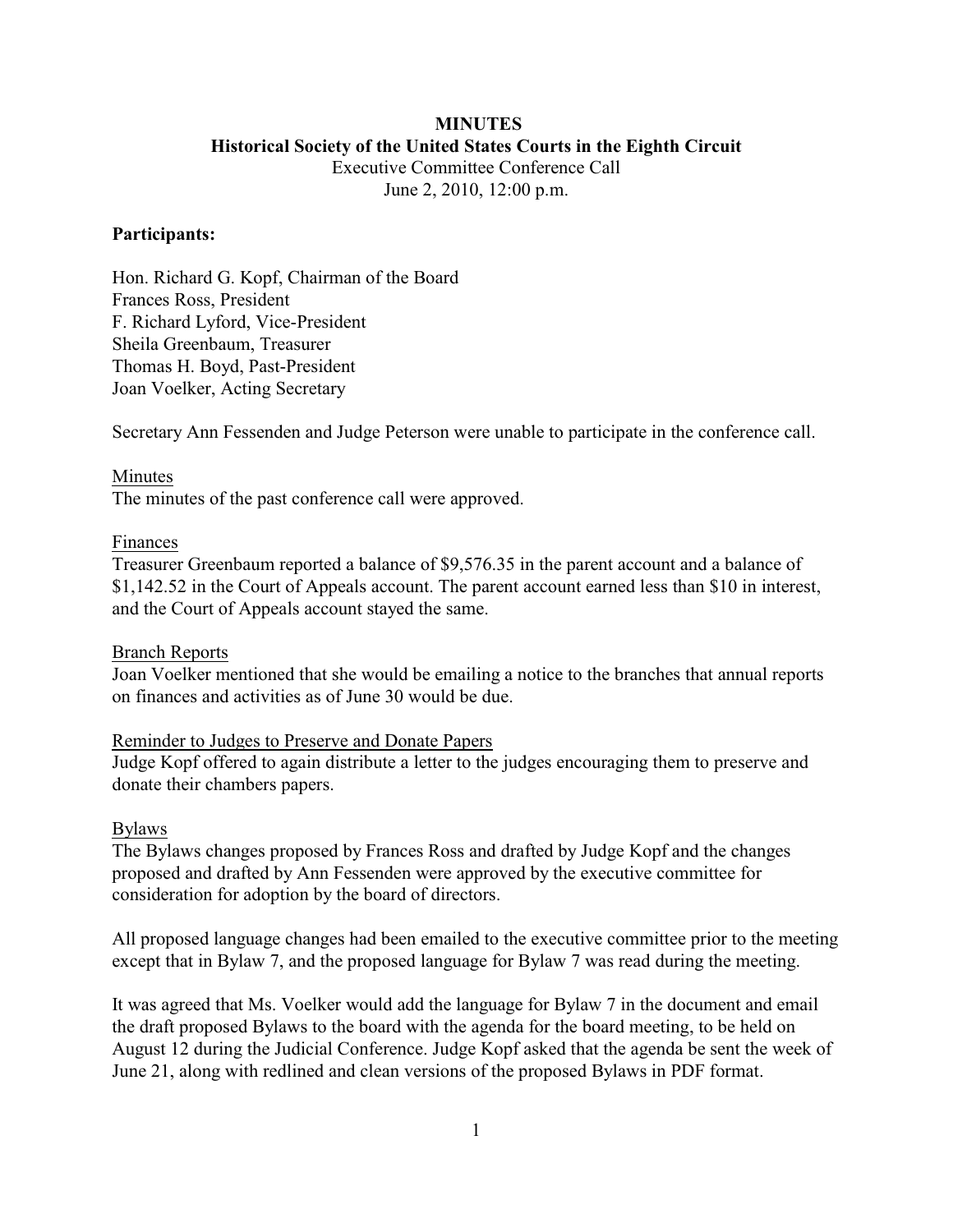# **MINUTES Historical Society of the United States Courts in the Eighth Circuit**

Executive Committee Conference Call June 2, 2010, 12:00 p.m.

#### **Participants:**

Hon. Richard G. Kopf, Chairman of the Board Frances Ross, President F. Richard Lyford, Vice-President Sheila Greenbaum, Treasurer Thomas H. Boyd, Past-President Joan Voelker, Acting Secretary

Secretary Ann Fessenden and Judge Peterson were unable to participate in the conference call.

# Minutes

The minutes of the past conference call were approved.

### Finances

Treasurer Greenbaum reported a balance of \$9,576.35 in the parent account and a balance of \$1,142.52 in the Court of Appeals account. The parent account earned less than \$10 in interest, and the Court of Appeals account stayed the same.

#### Branch Reports

Joan Voelker mentioned that she would be emailing a notice to the branches that annual reports on finances and activities as of June 30 would be due.

### Reminder to Judges to Preserve and Donate Papers

Judge Kopf offered to again distribute a letter to the judges encouraging them to preserve and donate their chambers papers.

### Bylaws

The Bylaws changes proposed by Frances Ross and drafted by Judge Kopf and the changes proposed and drafted by Ann Fessenden were approved by the executive committee for consideration for adoption by the board of directors.

All proposed language changes had been emailed to the executive committee prior to the meeting except that in Bylaw 7, and the proposed language for Bylaw 7 was read during the meeting.

It was agreed that Ms. Voelker would add the language for Bylaw 7 in the document and email the draft proposed Bylaws to the board with the agenda for the board meeting, to be held on August 12 during the Judicial Conference. Judge Kopf asked that the agenda be sent the week of June 21, along with redlined and clean versions of the proposed Bylaws in PDF format.